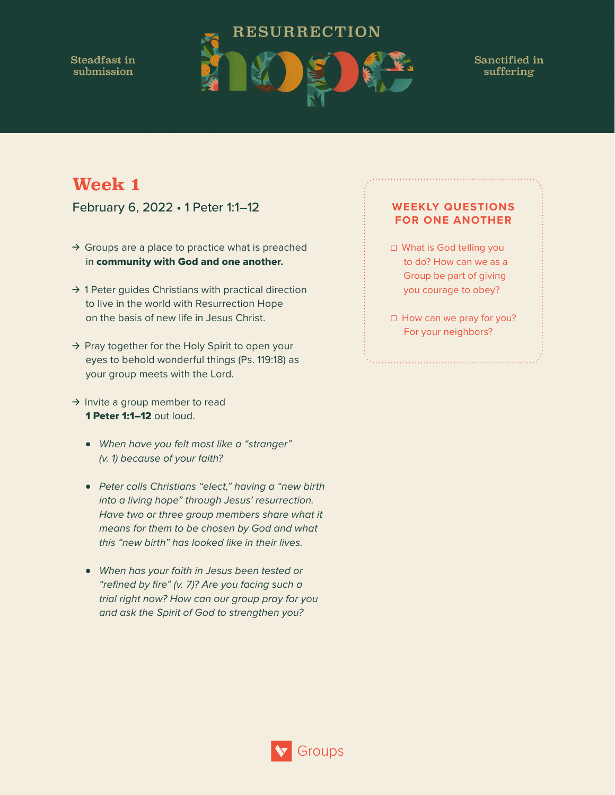Steadfast in submission



Sanctified in suffering

## **Week 1**

February 6, 2022 • 1 Peter 1:1–12

- $\rightarrow$  Groups are a place to practice what is preached in community with God and one another**.**
- $\rightarrow$  1 Peter guides Christians with practical direction to live in the world with Resurrection Hope on the basis of new life in Jesus Christ.
- $\rightarrow$  Pray together for the Holy Spirit to open your eyes to behold wonderful things (Ps. 119:18) as your group meets with the Lord.
- $\rightarrow$  Invite a group member to read 1 Peter 1:1-12 out loud.
	- *When have you felt most like a "stranger" (v. 1) because of your faith?*
	- *Peter calls Christians "elect," having a "new birth into a living hope" through Jesus' resurrection. Have two or three group members share what it means for them to be chosen by God and what this "new birth" has looked like in their lives.*
	- *When has your faith in Jesus been tested or "refined by fire" (v. 7)? Are you facing such a trial right now? How can our group pray for you and ask the Spirit of God to strengthen you?*

- ☐ What is God telling you to do? How can we as a Group be part of giving you courage to obey?
- □ How can we pray for you? For your neighbors?

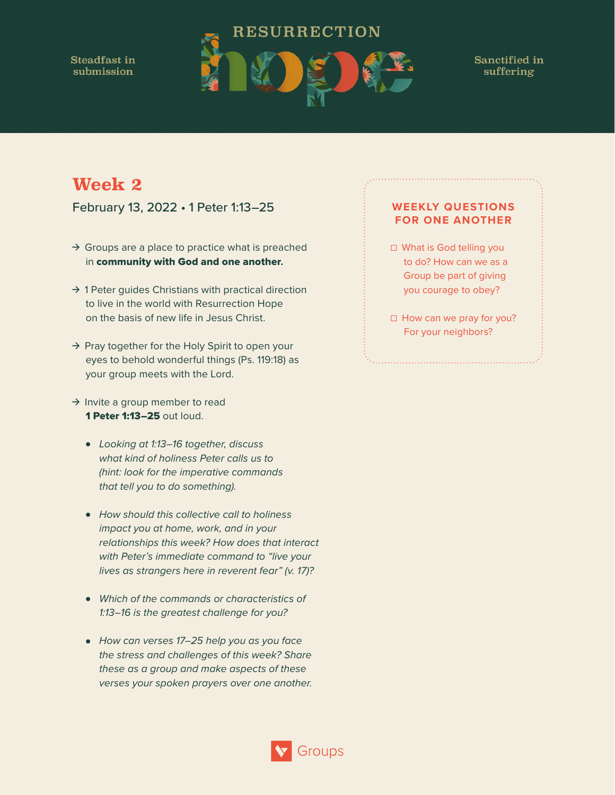Steadfast in submission



Sanctified in suffering

# **Week 2**

February 13, 2022 • 1 Peter 1:13–25

- $\rightarrow$  Groups are a place to practice what is preached in community with God and one another**.**
- $\rightarrow$  1 Peter guides Christians with practical direction to live in the world with Resurrection Hope on the basis of new life in Jesus Christ.
- $\rightarrow$  Pray together for the Holy Spirit to open your eyes to behold wonderful things (Ps. 119:18) as your group meets with the Lord.
- $\rightarrow$  Invite a group member to read 1 Peter 1:13–25 out loud.
	- *Looking at 1:13–16 together, discuss what kind of holiness Peter calls us to (hint: look for the imperative commands that tell you to do something).*
	- *How should this collective call to holiness impact you at home, work, and in your relationships this week? How does that interact with Peter's immediate command to "live your lives as strangers here in reverent fear" (v. 17)?*
	- *Which of the commands or characteristics of 1:13–16 is the greatest challenge for you?*
	- *How can verses 17–25 help you as you face the stress and challenges of this week? Share these as a group and make aspects of these verses your spoken prayers over one another.*

- ☐ What is God telling you to do? How can we as a Group be part of giving you courage to obey?
- □ How can we pray for you? For your neighbors?

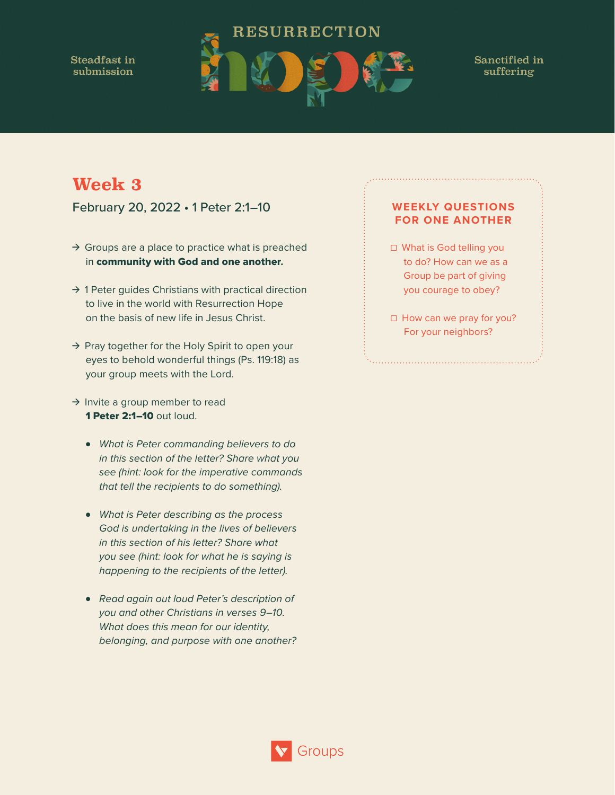Steadfast in submission



Groups

Sanctified in suffering

# **Week 3**

February 20, 2022 • 1 Peter 2:1–10

- $\rightarrow$  Groups are a place to practice what is preached in community with God and one another**.**
- $\rightarrow$  1 Peter guides Christians with practical direction to live in the world with Resurrection Hope on the basis of new life in Jesus Christ.
- $\rightarrow$  Pray together for the Holy Spirit to open your eyes to behold wonderful things (Ps. 119:18) as your group meets with the Lord.
- $\rightarrow$  Invite a group member to read 1 Peter 2:1-10 out loud.
	- *What is Peter commanding believers to do in this section of the letter? Share what you see (hint: look for the imperative commands that tell the recipients to do something).*
	- *What is Peter describing as the process God is undertaking in the lives of believers in this section of his letter? Share what you see (hint: look for what he is saying is happening to the recipients of the letter).*
	- *Read again out loud Peter's description of you and other Christians in verses 9–10. What does this mean for our identity, belonging, and purpose with one another?*

- ☐ What is God telling you to do? How can we as a Group be part of giving you courage to obey?
- □ How can we pray for you? For your neighbors?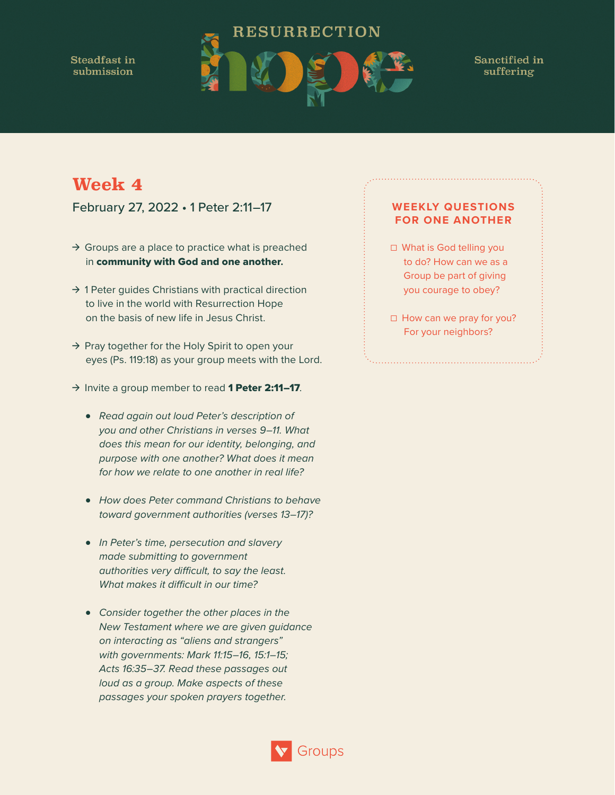**Steadfast in** submission



Sanctified in suffering

# **Week 4**

February 27, 2022 • 1 Peter 2:11–17

- $\rightarrow$  Groups are a place to practice what is preached in community with God and one another**.**
- $\rightarrow$  1 Peter guides Christians with practical direction to live in the world with Resurrection Hope on the basis of new life in Jesus Christ.
- → Pray together for the Holy Spirit to open your eyes (Ps. 119:18) as your group meets with the Lord.
- $\rightarrow$  Invite a group member to read 1 Peter 2:11-17.
	- *Read again out loud Peter's description of you and other Christians in verses 9–11. What does this mean for our identity, belonging, and purpose with one another? What does it mean for how we relate to one another in real life?*
	- *How does Peter command Christians to behave toward government authorities (verses 13–17)?*
	- *In Peter's time, persecution and slavery made submitting to government authorities very difficult, to say the least. What makes it difficult in our time?*
	- *Consider together the other places in the New Testament where we are given guidance on interacting as "aliens and strangers" with governments: Mark 11:15–16, 15:1–15; Acts 16:35–37. Read these passages out loud as a group. Make aspects of these passages your spoken prayers together.*

- ☐ What is God telling you to do? How can we as a Group be part of giving you courage to obey?
- □ How can we pray for you? For your neighbors?

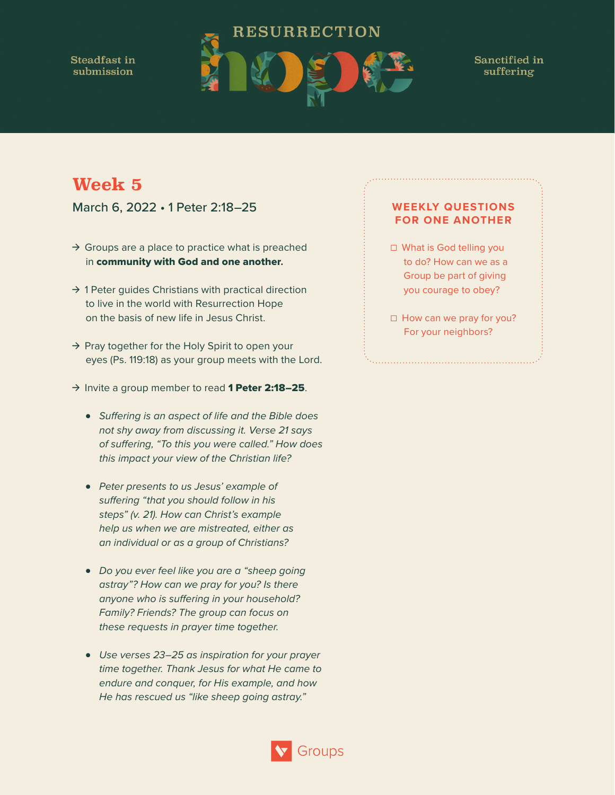Steadfast in submission



Sanctified in suffering

# **Week 5**

March 6, 2022 • 1 Peter 2:18–25

- $\rightarrow$  Groups are a place to practice what is preached in community with God and one another**.**
- $\rightarrow$  1 Peter guides Christians with practical direction to live in the world with Resurrection Hope on the basis of new life in Jesus Christ.
- → Pray together for the Holy Spirit to open your eyes (Ps. 119:18) as your group meets with the Lord.
- $\rightarrow$  Invite a group member to read 1 Peter 2:18-25.
	- *Suffering is an aspect of life and the Bible does not shy away from discussing it. Verse 21 says of suffering, "To this you were called." How does this impact your view of the Christian life?*
	- *Peter presents to us Jesus' example of suffering "that you should follow in his steps" (v. 21). How can Christ's example help us when we are mistreated, either as an individual or as a group of Christians?*
	- *Do you ever feel like you are a "sheep going astray"? How can we pray for you? Is there anyone who is suffering in your household? Family? Friends? The group can focus on these requests in prayer time together.*
	- *Use verses 23–25 as inspiration for your prayer time together. Thank Jesus for what He came to endure and conquer, for His example, and how He has rescued us "like sheep going astray."*

- ☐ What is God telling you to do? How can we as a Group be part of giving you courage to obey?
- □ How can we pray for you? For your neighbors?

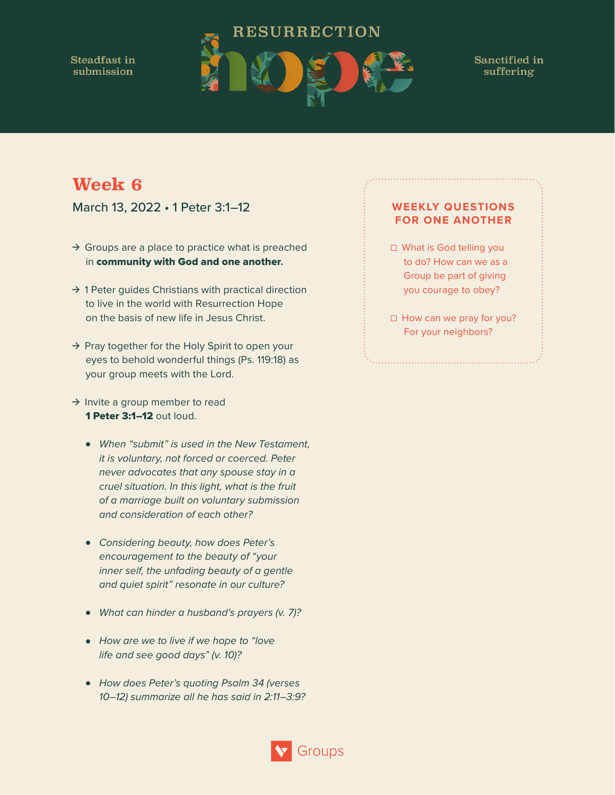Steadfast in submission



Sanctified in suffering

## **Week 6**

March 13, 2022 • 1 Peter 3:1–12

- $\rightarrow$  Groups are a place to practice what is preached in community with God and one another**.**
- $\rightarrow$  1 Peter guides Christians with practical direction to live in the world with Resurrection Hope on the basis of new life in Jesus Christ.
- $\rightarrow$  Pray together for the Holy Spirit to open your eyes to behold wonderful things (Ps. 119:18) as your group meets with the Lord.
- $\rightarrow$  Invite a group member to read 1 Peter 3:1–12 out loud.
	- *When "submit" is used in the New Testament, it is voluntary, not forced or coerced. Peter never advocates that any spouse stay in a cruel situation. In this light, what is the fruit of a marriage built on voluntary submission and consideration of each other?*
	- *Considering beauty, how does Peter's encouragement to the beauty of "your inner self, the unfading beauty of a gentle and quiet spirit" resonate in our culture?*
	- *What can hinder a husband's prayers (v. 7)?*
	- *How are we to live if we hope to "love life and see good days" (v. 10)?*
	- *How does Peter's quoting Psalm 34 (verses 10–12) summarize all he has said in 2:11–3:9?*

- ☐ What is God telling you to do? How can we as a Group be part of giving you courage to obey?
- □ How can we pray for you? For your neighbors?

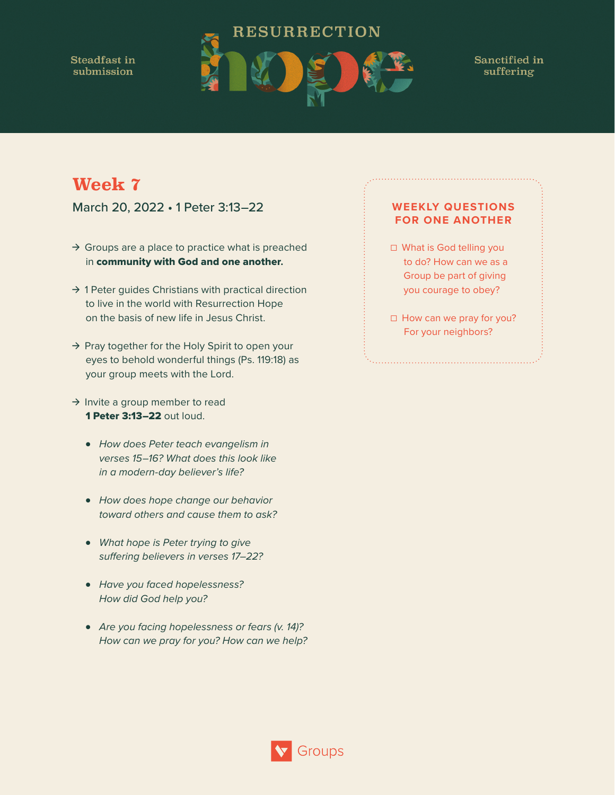**Steadfast in** submission



Sanctified in suffering

# **Week 7**

March 20, 2022 • 1 Peter 3:13–22

- $\rightarrow$  Groups are a place to practice what is preached in community with God and one another**.**
- $\rightarrow$  1 Peter guides Christians with practical direction to live in the world with Resurrection Hope on the basis of new life in Jesus Christ.
- $\rightarrow$  Pray together for the Holy Spirit to open your eyes to behold wonderful things (Ps. 119:18) as your group meets with the Lord.
- $\rightarrow$  Invite a group member to read 1 Peter 3:13–22 out loud.
	- *How does Peter teach evangelism in verses 15–16? What does this look like in a modern-day believer's life?*
	- *How does hope change our behavior toward others and cause them to ask?*
	- *What hope is Peter trying to give suffering believers in verses 17–22?*
	- *Have you faced hopelessness? How did God help you?*
	- *Are you facing hopelessness or fears (v. 14)? How can we pray for you? How can we help?*

- ☐ What is God telling you to do? How can we as a Group be part of giving you courage to obey?
- □ How can we pray for you? For your neighbors?

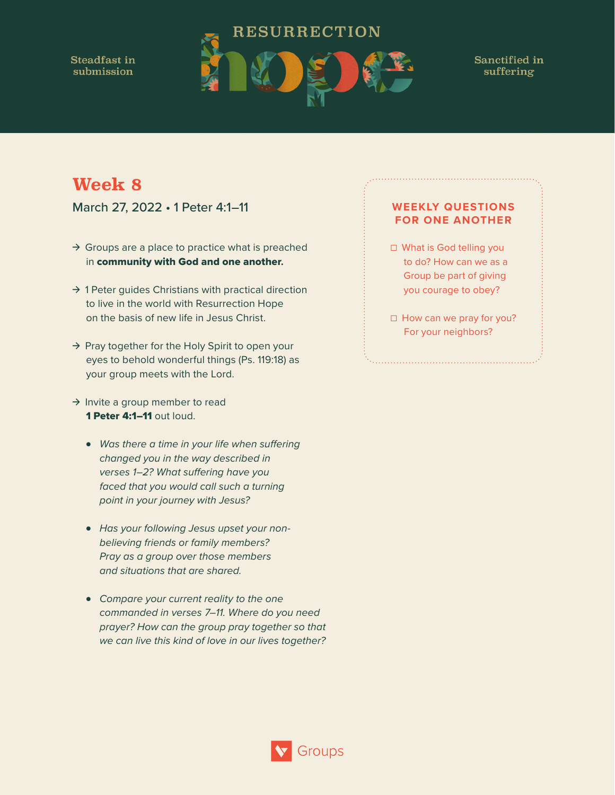Steadfast in submission



Sanctified in suffering

# **Week 8**

March 27, 2022 • 1 Peter 4:1–11

- $\rightarrow$  Groups are a place to practice what is preached in community with God and one another**.**
- $\rightarrow$  1 Peter guides Christians with practical direction to live in the world with Resurrection Hope on the basis of new life in Jesus Christ.
- $\rightarrow$  Pray together for the Holy Spirit to open your eyes to behold wonderful things (Ps. 119:18) as your group meets with the Lord.
- $\rightarrow$  Invite a group member to read 1 Peter 4:1–11 out loud.
	- *Was there a time in your life when suffering changed you in the way described in verses 1–2? What suffering have you faced that you would call such a turning point in your journey with Jesus?*
	- *Has your following Jesus upset your nonbelieving friends or family members? Pray as a group over those members and situations that are shared.*
	- *Compare your current reality to the one commanded in verses 7–11. Where do you need prayer? How can the group pray together so that we can live this kind of love in our lives together?*

Groups

- ☐ What is God telling you to do? How can we as a Group be part of giving you courage to obey?
- □ How can we pray for you? For your neighbors?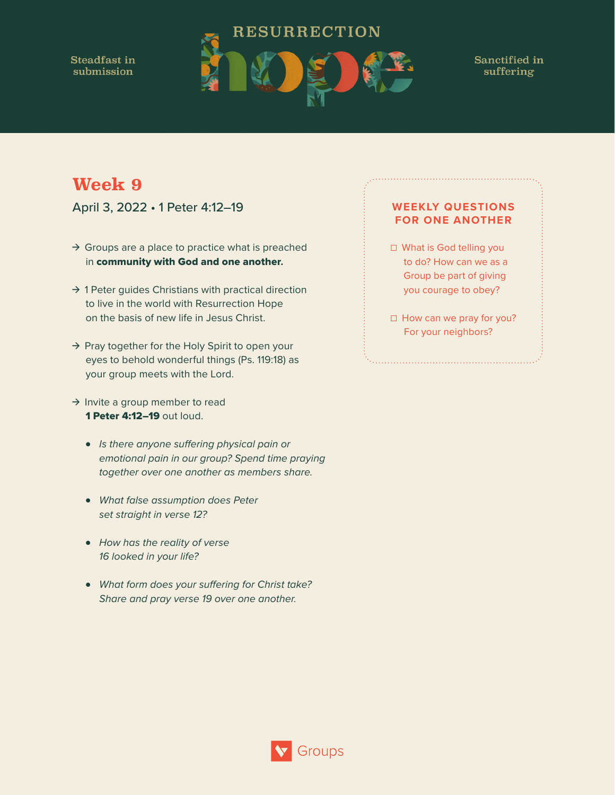Steadfast in submission



Sanctified in suffering

# **Week 9**

April 3, 2022 • 1 Peter 4:12–19

- $\rightarrow$  Groups are a place to practice what is preached in community with God and one another**.**
- $\rightarrow$  1 Peter guides Christians with practical direction to live in the world with Resurrection Hope on the basis of new life in Jesus Christ.
- $\rightarrow$  Pray together for the Holy Spirit to open your eyes to behold wonderful things (Ps. 119:18) as your group meets with the Lord.
- $\rightarrow$  Invite a group member to read 1 Peter 4:12–19 out loud.
	- *Is there anyone suffering physical pain or emotional pain in our group? Spend time praying together over one another as members share.*
	- *What false assumption does Peter set straight in verse 12?*
	- *How has the reality of verse 16 looked in your life?*
	- *What form does your suffering for Christ take? Share and pray verse 19 over one another.*

- ☐ What is God telling you to do? How can we as a Group be part of giving you courage to obey?
- □ How can we pray for you? For your neighbors?